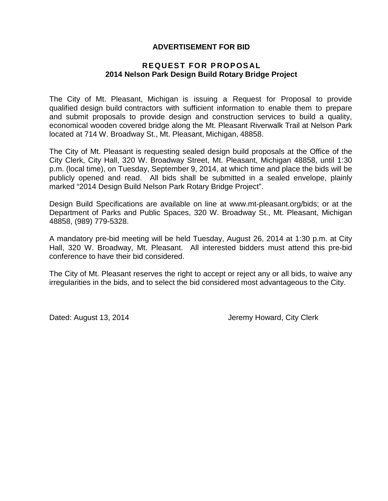### **ADVERTISEMENT FOR BID**

#### **REQUEST FOR P ROPOS AL 2014 Nelson Park Design Build Rotary Bridge Project**

The City of Mt. Pleasant, Michigan is issuing a Request for Proposal to provide qualified design build contractors with sufficient information to enable them to prepare and submit proposals to provide design and construction services to build a quality, economical wooden covered bridge along the Mt. Pleasant Riverwalk Trail at Nelson Park located at 714 W. Broadway St., Mt. Pleasant, Michigan, 48858.

The City of Mt. Pleasant is requesting sealed design build proposals at the Office of the City Clerk, City Hall, 320 W. Broadway Street, Mt. Pleasant, Michigan 48858, until 1:30 p.m. (local time), on Tuesday, September 9, 2014, at which time and place the bids will be publicly opened and read. All bids shall be submitted in a sealed envelope, plainly marked "2014 Design Build Nelson Park Rotary Bridge Project".

Design Build Specifications are available on line at www.mt-pleasant.org/bids; or at the Department of Parks and Public Spaces, 320 W. Broadway St., Mt. Pleasant, Michigan 48858, (989) 779-5328.

A mandatory pre-bid meeting will be held Tuesday, August 26, 2014 at 1:30 p.m. at City Hall, 320 W. Broadway, Mt. Pleasant. All interested bidders must attend this pre-bid conference to have their bid considered.

The City of Mt. Pleasant reserves the right to accept or reject any or all bids, to waive any irregularities in the bids, and to select the bid considered most advantageous to the City.

Dated: August 13, 2014 **Jeremy Howard, City Clerk**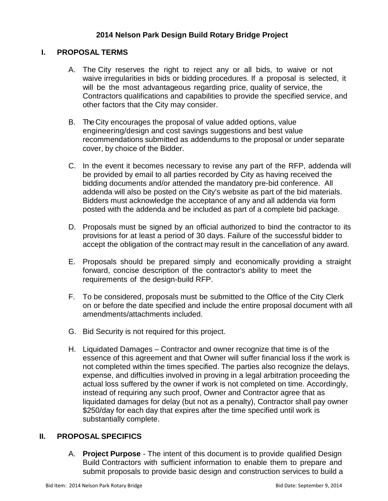## **2014 Nelson Park Design Build Rotary Bridge Project**

### **I. PROPOSAL TERMS**

- A. The City reserves the right to reject any or all bids, to waive or not waive irregularities in bids or bidding procedures. If a proposal is selected, it will be the most advantageous regarding price, quality of service, the Contractors qualifications and capabilities to provide the specified service, and other factors that the City may consider.
- B. The City encourages the proposal of value added options, value engineering/design and cost savings suggestions and best value recommendations submitted as addendums to the proposal or under separate cover, by choice of the Bidder.
- C. In the event it becomes necessary to revise any part of the RFP, addenda will be provided by email to all parties recorded by City as having received the bidding documents and/or attended the mandatory pre-bid conference. All addenda will also be posted on the City's website as part of the bid materials. Bidders must acknowledge the acceptance of any and all addenda via form posted with the addenda and be included as part of a complete bid package.
- D. Proposals must be signed by an official authorized to bind the contractor to its provisions for at least a period of 30 days. Failure of the successful bidder to accept the obligation of the contract may result in the cancellation of any award.
- E. Proposals should be prepared simply and economically providing a straight forward, concise description of the contractor's ability to meet the requirements of the design-build RFP.
- F. To be considered, proposals must be submitted to the Office of the City Clerk on or before the date specified and include the entire proposal document with all amendments/attachments included.
- G. Bid Security is not required for this project.
- H. Liquidated Damages Contractor and owner recognize that time is of the essence of this agreement and that Owner will suffer financial loss if the work is not completed within the times specified. The parties also recognize the delays, expense, and difficulties involved in proving in a legal arbitration proceeding the actual loss suffered by the owner if work is not completed on time. Accordingly, instead of requiring any such proof, Owner and Contractor agree that as liquidated damages for delay (but not as a penalty), Contractor shall pay owner \$250/day for each day that expires after the time specified until work is substantially complete.

## **II. PROPOSAL SPECIFICS**

A. **Project Purpose** - The intent of this document is to provide qualified Design Build Contractors with sufficient information to enable them to prepare and submit proposals to provide basic design and construction services to build a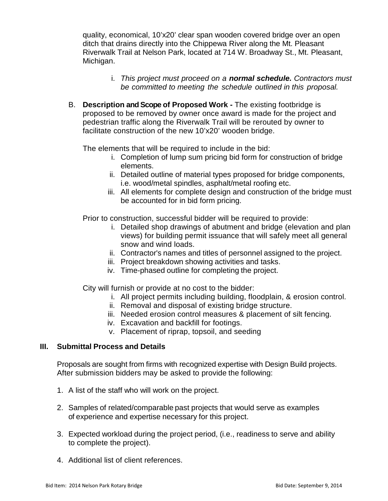quality, economical, 10'x20' clear span wooden covered bridge over an open ditch that drains directly into the Chippewa River along the Mt. Pleasant Riverwalk Trail at Nelson Park, located at 714 W. Broadway St., Mt. Pleasant, Michigan.

- i. *This project must proceed on a normal schedule. Contractors must be committed to meeting the schedule outlined in this proposal.*
- B. **Description and Scope of Proposed Work -** The existing footbridge is proposed to be removed by owner once award is made for the project and pedestrian traffic along the Riverwalk Trail will be rerouted by owner to facilitate construction of the new 10'x20' wooden bridge.

The elements that will be required to include in the bid:

- i. Completion of lump sum pricing bid form for construction of bridge elements.
- ii. Detailed outline of material types proposed for bridge components, i.e. wood/metal spindles, asphalt/metal roofing etc.
- iii. All elements for complete design and construction of the bridge must be accounted for in bid form pricing.

Prior to construction, successful bidder will be required to provide:

- i. Detailed shop drawings of abutment and bridge (elevation and plan views) for building permit issuance that will safely meet all general snow and wind loads.
- ii. Contractor's names and titles of personnel assigned to the project.
- iii. Project breakdown showing activities and tasks.
- iv. Time-phased outline for completing the project.

City will furnish or provide at no cost to the bidder:

- i. All project permits including building, floodplain, & erosion control.
- ii. Removal and disposal of existing bridge structure.
- iii. Needed erosion control measures & placement of silt fencing.
- iv. Excavation and backfill for footings.
- v. Placement of riprap, topsoil, and seeding

#### **III. Submittal Process and Details**

Proposals are sought from firms with recognized expertise with Design Build projects. After submission bidders may be asked to provide the following:

- 1. A list of the staff who will work on the project.
- 2. Samples of related/comparable past projects that would serve as examples of experience and expertise necessary for this project.
- 3. Expected workload during the project period, (i.e., readiness to serve and ability to complete the project).
- 4. Additional list of client references.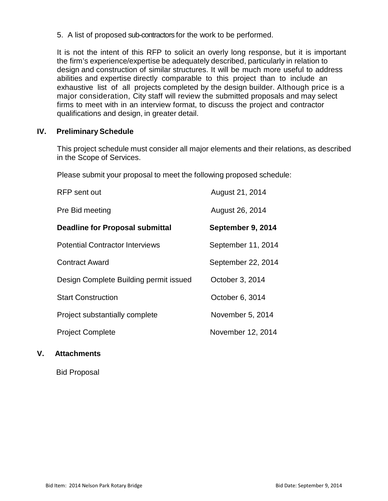5. A list of proposed sub-contractors for the work to be performed.

It is not the intent of this RFP to solicit an overly long response, but it is important the firm's experience/expertise be adequately described, particularly in relation to design and construction of similar structures. It will be much more useful to address abilities and expertise directly comparable to this project than to include an exhaustive list of all projects completed by the design builder. Although price is a major consideration, City staff will review the submitted proposals and may select firms to meet with in an interview format, to discuss the project and contractor qualifications and design, in greater detail.

## **IV. Preliminary Schedule**

This project schedule must consider all major elements and their relations, as described in the Scope of Services.

Please submit your proposal to meet the following proposed schedule:

| <b>RFP</b> sent out                    | August 21, 2014    |
|----------------------------------------|--------------------|
| Pre Bid meeting                        | August 26, 2014    |
| <b>Deadline for Proposal submittal</b> | September 9, 2014  |
| <b>Potential Contractor Interviews</b> | September 11, 2014 |
| <b>Contract Award</b>                  | September 22, 2014 |
| Design Complete Building permit issued | October 3, 2014    |
| <b>Start Construction</b>              | October 6, 3014    |
| Project substantially complete         | November 5, 2014   |
| <b>Project Complete</b>                | November 12, 2014  |

## **V. Attachments**

Bid Proposal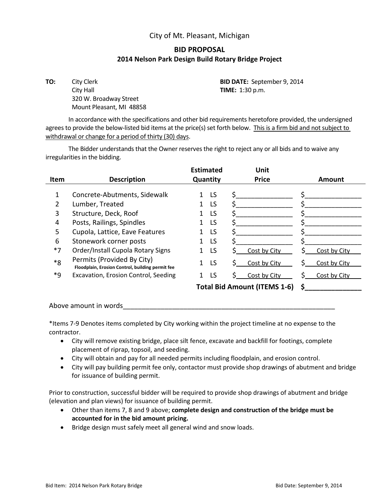#### City of Mt. Pleasant, Michigan

## **BID PROPOSAL 2014 Nelson Park Design Build Rotary Bridge Project**

**TO:** City Clerk **BID DATE:** September 9, 2014 City Hall **TIME:** 1:30 p.m. 320 W. Broadway Street Mount Pleasant, MI 48858

In accordance with the specifications and other bid requirements heretofore provided, the undersigned agrees to provide the below-listed bid items at the price(s) set forth below. This is a firm bid and not subject to withdrawal or change for a period of thirty (30) days.

The Bidder understands that the Owner reserves the right to reject any or all bids and to waive any irregularities in the bidding.

|      |                                                                                | <b>Estimated</b> | Unit               |                    |
|------|--------------------------------------------------------------------------------|------------------|--------------------|--------------------|
| Item | <b>Description</b>                                                             | Quantity         | <b>Price</b>       | <b>Amount</b>      |
|      |                                                                                |                  |                    |                    |
|      | Concrete-Abutments, Sidewalk                                                   | LS               |                    |                    |
| 2    | Lumber, Treated                                                                | LS               |                    |                    |
| 3    | Structure, Deck, Roof                                                          | LS               |                    |                    |
| 4    | Posts, Railings, Spindles                                                      | LS.              |                    |                    |
| 5    | Cupola, Lattice, Eave Features                                                 | LS               |                    |                    |
| 6    | Stonework corner posts                                                         | LS               |                    |                    |
| $*7$ | Order/Install Cupola Rotary Signs                                              | LS               | Cost by City       | Cost by City       |
| $*8$ | Permits (Provided By City)<br>Floodplain, Erosion Control, building permit fee | LS               | Cost by City<br>S. | S.<br>Cost by City |
| $*9$ | Excavation, Erosion Control, Seeding                                           | LS               | Cost by City       | Cost by City       |
|      |                                                                                | \$.              |                    |                    |

#### Above amount in words

\*Items 7-9 Denotes items completed by City working within the project timeline at no expense to the contractor.

- City will remove existing bridge, place silt fence, excavate and backfill for footings, complete placement of riprap, topsoil, and seeding.
- City will obtain and pay for all needed permits including floodplain, and erosion control.
- City will pay building permit fee only, contactor must provide shop drawings of abutment and bridge for issuance of building permit.

Prior to construction, successful bidder will be required to provide shop drawings of abutment and bridge (elevation and plan views) for issuance of building permit.

- Other than items 7, 8 and 9 above; **complete design and construction of the bridge must be accounted for in the bid amount pricing.**
- Bridge design must safely meet all general wind and snow loads.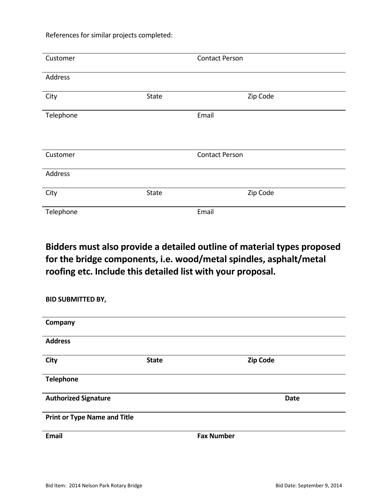References for similar projects completed:

| Customer  |       | <b>Contact Person</b> |
|-----------|-------|-----------------------|
| Address   |       |                       |
| City      | State | Zip Code              |
| Telephone |       | Email                 |
| Customer  |       | <b>Contact Person</b> |
| Address   |       |                       |
| City      | State | Zip Code              |
| Telephone |       | Email                 |

# **Bidders must also provide a detailed outline of material types proposed for the bridge components, i.e. wood/metal spindles, asphalt/metal roofing etc. Include this detailed list with your proposal.**

| <b>BID SUBMITTED BY,</b>            |              |                   |                 |
|-------------------------------------|--------------|-------------------|-----------------|
| Company                             |              |                   |                 |
| <b>Address</b>                      |              |                   |                 |
| <b>City</b>                         | <b>State</b> |                   | <b>Zip Code</b> |
| <b>Telephone</b>                    |              |                   |                 |
| <b>Authorized Signature</b>         |              |                   | <b>Date</b>     |
| <b>Print or Type Name and Title</b> |              |                   |                 |
| <b>Email</b>                        |              | <b>Fax Number</b> |                 |